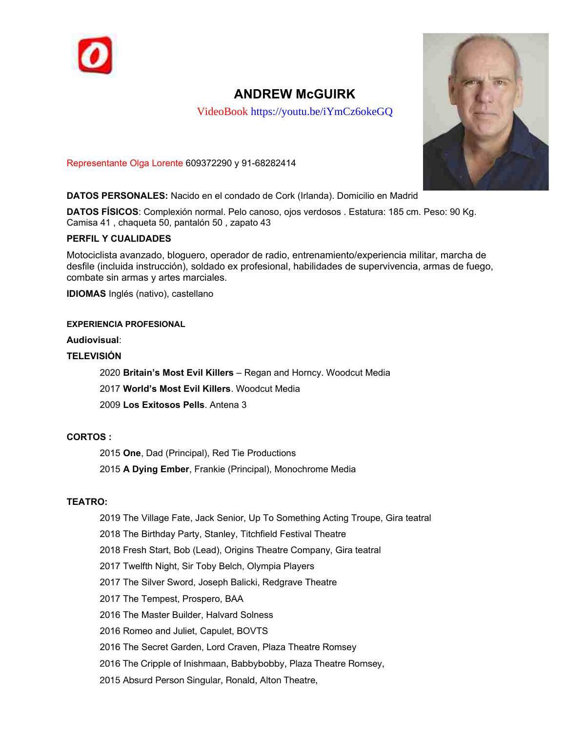

# **ANDREW McGUIRK**

VideoBook https://youtu.be/iYmCz6okeGQ



Representante Olga Lorente 609372290 y 91-68282414

**DATOS PERSONALES:** Nacido en el condado de Cork (Irlanda). Domicilio en Madrid

**DATOS FÍSICOS**: Complexion normal. Pelo canoso, ojos verdosos . Estatura: 185 cm. Peso: 90 Kg. Camisa 41, chaqueta 50, pantalón 50, zapato 43

## **PERFIL Y CUALIDADES**

Motociclista avanzado, bloguero, operador de radio, entrenamiento/experiencia militar, marcha de desfile (incluida instruccion), soldado ex profesional, habilidades de supervivencia, armas de fuego, combate sin armas y artes marciales.

**IDIOMAS** Inglés (nativo), castellano

#### **EXPERIENCIA PROFESIONAL**

**Audiovisual**:

# **TELEVISIÓN**

2020 **Britain's Most Evil Killers** – Regan and Horncy. Woodcut Media 2017 **World's Most Evil Killers**. Woodcut Media 2009 **Los Exitosos Pells**. Antena 3

# **CORTOS :**

2015 **One**, Dad (Principal), Red Tie Productions 2015 **A Dying Ember**, Frankie (Principal), Monochrome Media

#### **TEATRO:**

2019 The Village Fate, Jack Senior, Up To Something Acting Troupe, Gira teatral

2018 The Birthday Party, Stanley, Titchfield Festival Theatre

2018 Fresh Start, Bob (Lead), Origins Theatre Company, Gira teatral

2017 Twelfth Night, Sir Toby Belch, Olympia Players

2017 The Silver Sword, Joseph Balicki, Redgrave Theatre

2017 The Tempest, Prospero, BAA

2016 The Master Builder, Halvard Solness

2016 Romeo and Juliet, Capulet, BOVTS

2016 The Secret Garden, Lord Craven, Plaza Theatre Romsey

2016 The Cripple of Inishmaan, Babbybobby, Plaza Theatre Romsey,

2015 Absurd Person Singular, Ronald, Alton Theatre,